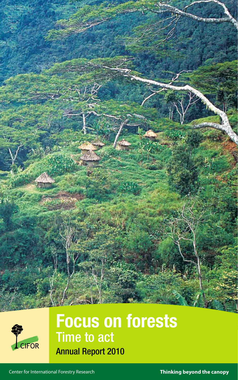



# Focus on forests Time to act Annual Report 2010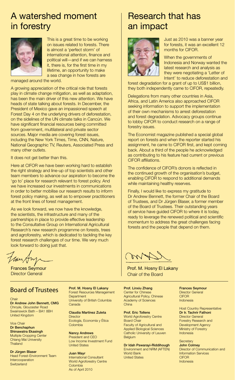#### A watershed moment in forestry



This is a great time to be working on issues related to forests. There is almost a 'perfect storm' of international attention, finance and political will—and if we can harness it, there is, for the first time in my lifetime, an opportunity to make a sea change in how forests are

managed around the world.

A growing appreciation of the critical role that forests play in climate change mitigation, as well as adaptation, has been the main driver of this new attention. We have heads of state talking about forests. In December, the President of Mexico gave an impassioned speech at Forest Day 4 on the underlying drivers of deforestation, on the sidelines of the UN climate talks in Cancún. We have significant financial resources being committed from government, multilateral and private sector sources. Major media are covering forest issues, including the New York Times, Time, CNN, Nature, National Geographic TV, Reuters, Associated Press and many other outlets.

It does not get better than this.

Here at CIFOR we have been working hard to establish the right strategy and line-up of top scientists and other team members to advance our aspiration to become the 'go to' place for research relevant to forest policy. And we have increased our investments in communications in order to better mobilise our research results to inform forest policy making, as well as to empower practitioners at the front lines of forest management.

As we look forward, we now have the knowledge, the scientists, the infrastructure and many of the partnerships in place to provide effective leadership to the Consultative Group on International Agricultural Research's new research programme on forests, trees and agroforestry, which is dedicated to tackling the key forest research challenges of our time. We very much look forward to doing just that.

tur

Frances Seymour Director General

#### Board of Trustees Prof. M. Hosny El Lakany

**Chair** 

Dr Andrew John Bennett, CMG Chroyle, Gloucester Road Swainswick Bath – BA1 8BH United Kingdom

Vice Chair Dr Benchaphun Shinawatra Ekasingh Multiple Cropping Center Chiang Mai University **Thailand** 

Dr Jürgen Blaser Head Forest-Environment Team Intercooperation **Switzerland** 

Forest Resources Management **Department** University of British Columbia Canada

Claudia Martínez Zuleta **Director** Ecología, Economía y Ética **Colombia** 

Nancy Andrews President and CEO Low Income Investment Fund United States

Juan Mayr International Consultant World Agroforestry Centre **Colombia** As of April 2010

#### Research that has an impact



Just as 2010 was a banner year for forests, it was an excellent 12 months for CIFOR.

When the governments of Indonesia and Norway wanted the latest research and analysis as they were negotiating a 'Letter of Intent' to reduce deforestation and

forest degradation for a grant of up to US\$1 billion. they both independently came to CIFOR, repeatedly.

Delegations from many other countries in Asia, Africa, and Latin America also approached CIFOR seeking information to support the implementation of their own mechanisms to arrest deforestation and forest degradation. Advocacy groups continue to lobby CIFOR to conduct research on a range of forestry issues.

The Economist magazine published a special global report on forests and when the reporter started his assignment, he came to CIFOR first, and kept coming back. About a third of the people he acknowledged as contributing to his feature had current or previous CIFOR affiliations.

The confidence of CIFOR's donors is reflected in the continued growth of the organisation's budget, enabling CIFOR to respond to additional demands while maintaining healthy reserves.

Finally, I would like to express my gratitude to Dr Andrew Bennett, the former Chair of the Board of Trustees, and Dr Jürgen Blaser, a former member of the Board of Trustees. Their outstanding years of service have guided CIFOR to where it is today, ready to leverage the renewed political and scientific momentum to address the great challenges facing forests and the people that depend on them.

 $\mathcal{U}$ 

Prof. M. Hosny El Lakany Chair of the Board

Prof. Linxiu Zhang Center for Chinese Agricultural Policy, Chinese Academy of Sciences China

Prof. Eric Tollens World Agroforestry Centre Board Chair Faculty of Agricultural and Applied Biological Sciences Catholic University of Leuven **Belgium** 

Dr Idah Pswarayi-Riddihough

Environment and NRM (AFTEN) World Bank United States

Frances Seymour Director General **CIFOR** Indonesia

Host Country Representative Dr Ir. Tachrir Fathoni Director General Forestry Research and Development Agency Ministry of Forestry Indonesia

**Secretary** John Colmey Director of Communication and Information Services **CIFOR** Indonesia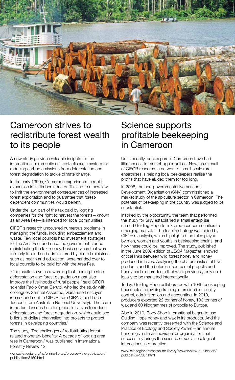

#### Cameroon strives to redistribute forest wealth to its people

A new study provides valuable insights for the international community as it establishes a system for reducing carbon emissions from deforestation and forest degradation to tackle climate change.

In the early 1990s, Cameroon experienced a rapid expansion in its timber industry. This led to a new law to limit the environmental consequences of increased forest exploitation and to quarantee that forestdependent communities would benefit.

Under the law, part of the tax paid by logging companies for the right to harvest the forests—known as an Area Fee—is intended for local communities.

CIFOR's research uncovered numerous problems in managing the funds, including embezzlement and waste. Few local councils had investment strategies for the Area Fee, and once the government started redistributing the tax money, basic services that were formerly funded and administered by central ministries, such as health and education, were handed over to local councils to be paid for with the Area Fee.

'Our results serve as a warning that funding to stem deforestation and forest degradation must also improve the livelihoods of rural people,' said CIFOR scientist Paolo Omar Cerutti, who led the study with colleagues Samuel Assembe, Guillaume Lescuyer (on secondment to CIFOR from CIRAD) and Luca Tacconi (from Australian National University). 'There are important lessons here for global initiatives to reduce deforestation and forest degradation, which could see billions of dollars channelled into projects to protect forests in developing countries.'

The study, 'The challenges of redistributing forestrelated monetary benefits: A decade of logging area fees in Cameroon,' was published in International Forestry Review 12.

www.cifor.cgiar.org/nc/online-library/browse/view-publication/ publication/3159.html

#### Science supports profitable beekeeping in Cameroon

Until recently, beekeepers in Cameroon have had little access to market opportunities. Now, as a result of CIFOR research, a network of small-scale rural enterprises is helping local beekeepers realise the profits that have eluded them for too long.

In 2006, the non-governmental Netherlands Development Organisation (SNV) commissioned a market study of the apiculture sector in Cameroon. The potential of beekeeping in the country was judged to be substantial.

Inspired by the opportunity, the team that performed the study for SNV established a small enterprise named Guiding Hope to link producer communities to emerging markets. The team's strategy was aided by CIFOR's analysis, which highlighted the roles played by men, women and youths in beekeeping chains, and how these could be improved. The study, published in the June 2009 edition of *LEISA Magazine*, showed critical links between wild forest honey and honey produced in hives. Analysing the characteristics of hive products and the botanical sources of propolis and honey enabled products that were previously only sold locally to be marketed internationally.

Today, Guiding Hope collaborates with 1040 beekeeping households, providing training in production, quality control, administration and accounting. In 2010, producers exported 22 tonnes of honey, 100 tonnes of wax and 60 kilogrammes of propolis to Europe.

Also in 2010, Body Shop International began to use Guiding Hope honey and wax in its products. And the company was recently presented with the Science and Practice of Ecology and Society Award—an annual honour given to an individual or organisation that successfully brings the science of social–ecological interactions into practice.

www.cifor.cgiar.org/nc/online-library/browse/view-publication/ publication/3387.html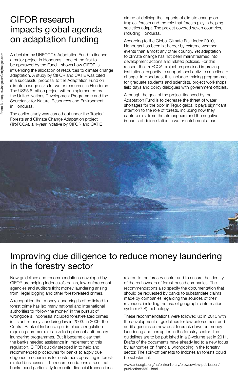### CIFOR research impacts global agenda on adaptation funding

A decision by UNFCCC's Adaptation Fund to finance a major project in Honduras—one of the first to be approved by the Fund—shows how CIFOR is influencing the allocation of resources to climate change adaptation. A study by CIFOR and CATIE was cited in a successful proposal to the Adaptation Fund on climate change risks for water resources in Honduras. The US\$5.6 million project will be implemented by the United Nations Development Programme and the Secretariat for Natural Resources and Environment in Honduras.

The earlier study was carried out under the Tropical Forests and Climate Change Adaptation project (TroFCCA), a 4-year initiative by CIFOR and CATIE

aimed at defining the impacts of climate change on tropical forests and the role that forests play in helping societies adapt. The project covered seven countries. including Honduras.

According to the Global Climate Risk Index 2010, Honduras has been hit harder by extreme weather events than almost any other country. Yet adaptation to climate change has not been mainstreamed into development actions and related policies. For this reason, the TroFCCA project emphasised improving institutional capacity to support local activities on climate change. In Honduras, this included training programmes for graduate students and scientists, project workshops, field days and policy dialogues with government officials.

Although the goal of the project financed by the Adaptation Fund is to decrease the threat of water shortages for the poor in Tegucigalpa, it pays significant attention to the role of forests, including how they capture mist from the atmosphere and the negative impacts of deforestation in water catchment areas.



#### Improving due diligence to reduce money laundering in the forestry sector

New guidelines and recommendations developed by CIFOR are helping Indonesia's banks, law-enforcement agencies and auditors fight money laundering arising from illegal logging and other forest-related crimes.

A recognition that money laundering is often linked to forest crime has led many national and international authorities to 'follow the money' in the pursuit of wrongdoers. Indonesia included forest‐related crimes in its anti-money laundering law in 2003. In 2009, the Central Bank of Indonesia put in place a regulation requiring commercial banks to implement anti-money laundering programmes. But it became clear that the banks needed assistance in implementing this regulation. CIFOR quickly stepped in to help and recommended procedures for banks to apply due diligence mechanisms for customers operating in forestrelated businesses. The recommendations stress that banks need particularly to monitor financial transactions

related to the forestry sector and to ensure the identity of the real owners of forest‐based companies. The recommendations also specify the documentation that should be requested by banks to substantiate claims made by companies regarding the sources of their revenues, including the use of geographic information system (GIS) technology.

These recommendations were followed up in 2010 with the development of guidelines for law enforcement and audit agencies on how best to crack down on money laundering and corruption in the forestry sector. The guidelines are to be published in a 2-volume set in 2011. Drafts of the documents have already led to a new focus by authorities on financial wrongdoing in the forestry sector. The spin-off benefits to Indonesian forests could be substantial.

www.cifor.cgiar.org/nc/online-library/browse/view-publication/ publication/3391.html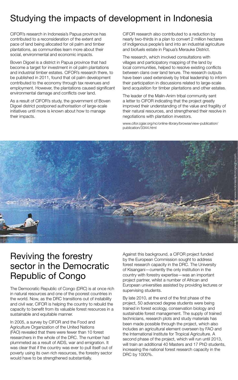### Studying the impacts of development in Indonesia

CIFOR's research in Indonesia's Papua province has contributed to a reconsideration of the extent and pace of land being allocated for oil palm and timber plantations, as communities learn more about their social, environmental and economic impacts.

Boven Digoel is a district in Papua province that had become a target for investment in oil palm plantations and industrial timber estates. CIFOR's research there, to be published in 2011, found that oil palm development contributed to the economy through tax revenues and employment. However, the plantations caused significant environmental damage and conflicts over land.

As a result of CIFOR's study, the government of Boven Digoel district postponed authorisation of large-scale initiatives until more is known about how to manage their impacts.

CIFOR research also contributed to a reduction by nearly two-thirds in a plan to convert 2 million hectares of indigenous people's land into an industrial agriculture and biofuels estate in Papua's Merauke District.

The research, which involved consultations with villages and participatory mapping of the land by local communities, helped to resolve existing conflicts between clans over land tenure. The research outputs have been used extensively by tribal leadership to inform their participation in discussions related to large-scale land acquisition for timber plantations and other estates.

The leader of the Malin-Anim tribal community sent a letter to CIFOR indicating that the project greatly improved their understanding of the value and fragility of their natural resources, and strengthened their resolve in negotiations with plantation investors.

www.cifor.cgiar.org/nc/online-library/browse/view-publication/ publication/3344.html



#### Reviving the forestry sector in the Democratic Republic of Congo

The Democratic Republic of Congo (DRC) is at once rich in natural resources and one of the poorest countries in the world. Now, as the DRC transitions out of instability and civil war, CIFOR is helping the country to rebuild the capacity to benefit from its valuable forest resources in a sustainable and equitable manner.

In 2005, a survey by CIFOR and the Food and Agriculture Organization of the United Nations (FAO) revealed that there were fewer than 10 forest researchers in the whole of the DRC. The number had plummeted as a result of AIDS, war and emigration. It was clear that if the country was ever to pull itself out of poverty using its own rich resources, the forestry sector would have to be strengthened substantially.

Against this background, a CIFOR project funded by the European Commission sought to address forest research capacity in the DRC. The University of Kisangani—currently the only institution in the country with forestry expertise—was an important project partner, whilst a number of African and European universities assisted by providing lectures or supervising students.

By late 2010, at the end of the first phase of the project, 50 advanced degree students were being trained in forest ecology, conservation biology and sustainable forest management. The supply of trained technicians, research plots and study materials has been made possible through the project, which also includes an agricultural element overseen by FAO and the International Institute for Tropical Agriculture. A second phase of the project, which will run until 2013, will train an additional 40 Masters and 17 PhD students, increasing the national forest research capacity in the DRC by 1000%.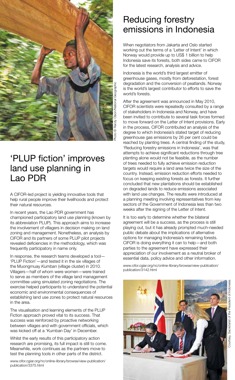

### 'PLUP fiction' improves land use planning in Lao PDR

A CIFOR-led project is yielding innovative tools that help rural people improve their livelihoods and protect their natural resources.

In recent years, the Lao PDR government has championed participatory land use planning (known by its abbreviation PLUP). This approach aims to increase the involvement of villagers in decision making on land zoning and management. Nonetheless, an analysis by CIFOR and its partners of some PLUP pilot projects revealed deficiencies in the methodology, which was frequently participatory in name only.

In response, the research teams developed a tool— 'PLUP Fiction'—and tested it in the six villages of the Muongmuay *Kumban* (village cluster) in 2010. Villagers—half of whom were women—were trained to serve as members of the village land management committee using simulated zoning negotiations. The exercise helped participants to understand the potential economic and environmental consequences of establishing land use zones to protect natural resources in the area.

The visualisation and learning elements of the PLUP Fiction approach proved vital to its success. That success was reinforced by proactive networking between villages and with government officials, which was kicked off at a 'Kumban Day' in December.

Whilst the early results of this participatory action research are promising, its full impact is still to come. Meanwhile, work continues as the partners move to test the planning tools in other parts of the district.

www.cifor.cgiar.org/nc/online-library/browse/view-publication/ publication/3375.html

#### Reducing forestry emissions in Indonesia

When negotiators from Jakarta and Oslo started working out the terms of a 'Letter of Intent' in which Norway would provide up to US\$ 1 billion to help Indonesia save its forests, both sides came to CIFOR for the latest research, analysis and advice.

Indonesia is the world's third largest emitter of greenhouse gases, mostly from deforestation, forest degradation and the conversion of peatlands. Norway is the world's largest contributor to efforts to save the world's forests.

After the agreement was announced in May 2010, CIFOR scientists were repeatedly consulted by a range of stakeholders in Indonesia and Norway, and have been invited to contribute to several task forces formed to move forward on the Letter of Intent provisions. Early in the process, CIFOR contributed an analysis of the degree to which Indonesia's stated target of reducing greenhouse gas emissions by 26 per cent could be reached by planting trees. A central finding of the study, 'Reducing forestry emissions in Indonesia', was that attempts to achieve significant reductions through tree planting alone would not be feasible, as the number of trees needed to fully achieve emission reduction targets would require a land area twice the size of the country. Instead, emission reduction efforts needed to focus on keeping existing forests as forests. It further concluded that new plantations should be established on degraded lands to reduce emissions associated with land use changes. The results were introduced at a planning meeting involving representatives from key sectors of the Government of Indonesia less than two weeks after the signing of the Letter of Intent.

It is too early to determine whether the bilateral agreement will be a success, as the process is still playing out, but it has already prompted much-needed public debate about the implications of alternative options for managing Indonesia's remaining forests. CIFOR is doing everything it can to help—and both parties to the agreement have expressed their appreciation of our involvement as a neutral broker of essential data, policy advice and other information.

www.cifor.cgiar.org/nc/online-library/browse/view-publication/ publication/3142.html

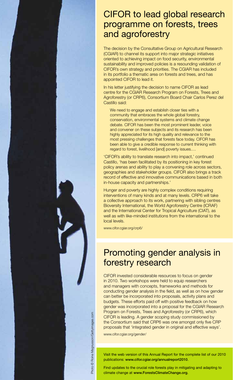#### CIFOR to lead global research programme on forests, trees and agroforestry

The decision by the Consultative Group on Agricultural Research (CGIAR) to channel its support into major strategic initiatives oriented to achieving impact on food security, environmental sustainability and improved policies is a resounding validation of CIFOR's own strategy and priorities. The CGIAR has included in its portfolio a thematic area on forests and trees, and has appointed CIFOR to lead it.

In his letter justifying the decision to name CIFOR as lead centre for the CGIAR Research Program on Forests, Trees and Agroforestry (or CRP6), Consortium Board Chair Carlos Perez del Castillo said:

We need to engage and establish closer ties with a community that embraces the whole global forestry, conservation, environmental systems and climate change debate. CIFOR has been the most prominent leader, voice and convener on these subjects and its research has been highly appreciated for its high quality and relevance to the most pressing challenges that forests face today. CIFOR has been able to give a credible response to current thinking with regard to forest, livelihood [and] poverty issues.…

'CIFOR's ability to translate research into impact,' continued Castillo, 'has been facilitated by its positioning in key forest policy arenas and ability to play a convening role across sectors, geographies and stakeholder groups. CIFOR also brings a track record of effective and innovative communications based in both in-house capacity and partnerships.'

Hunger and poverty are highly complex conditions requiring interventions of many kinds and at many levels. CRP6 will take a collective approach to its work, partnering with sibling centres Bioversity International, the World Agroforestry Centre (ICRAF) and the International Center for Tropical Agriculture (CIAT), as well as with like-minded institutions from the international to the local levels.

www.cifor.cgiar.org/crp6/

#### Promoting gender analysis in forestry research

CIFOR invested considerable resources to focus on gender in 2010. Two workshops were held to equip researchers and managers with concepts, frameworks and methods for conducting gender analysis in the field, as well as on how gender can better be incorporated into proposals, activity plans and budgets. These efforts paid off with positive feedback on how gender was incorporated into a proposal for the CGIAR Research Program on Forests, Trees and Agroforestry (or CRP6), which CIFOR is leading. A gender scoping study commissioned by the Consortium said that CRP6 was one amongst only five CRP proposals that 'integrated gender in original and effective ways'.

www.cifor.cgiar.org/gender/

Visit the web version of this Annual Report for the complete list of our 2010 publications: www.cifor.cgiar.org/annualreport2010.

Find updates to the crucial role forests play in mitigating and adapting to climate change at www.ForestsClimateChange.org.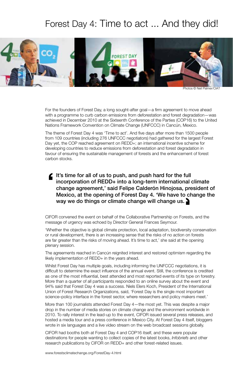### Forest Day 4: Time to act ... And they did!



Photos © Neil Palmer,

For the founders of Forest Day, a long sought-after goal—a firm agreement to move ahead with a programme to curb carbon emissions from deforestation and forest degradation—was achieved in December 2010 at the Sixteenth Conference of the Parties (COP16) to the United Nations Framework Convention on Climate Change (UNFCCC) in Cancún, Mexico.

The theme of Forest Day 4 was 'Time to act'. And five days after more than 1500 people from 109 countries (including 276 UNFCCC negotiators) had gathered for the largest Forest Day yet, the COP reached agreement on REDD+; an international incentive scheme for developing countries to reduce emissions from deforestation and forest degradation in favour of ensuring the sustainable management of forests and the enhancement of forest carbon stocks.

 $\blacktriangle$  It's time for all of us to push, and push hard for the full incorporation of REDD+ into a long-term international climate change agreement,' said Felipe Calderón Hinojosa, president of Mexico, at the opening of Forest Day 4. 'We have to change the way we do things or climate change will change us.  $\blacktriangleright$ 

CIFOR convened the event on behalf of the Collaborative Partnership on Forests, and the message of urgency was echoed by Director General Frances Seymour.

'Whether the objective is global climate protection, local adaptation, biodiversity conservation or rural development, there is an increasing sense that the risks of no action on forests are far greater than the risks of moving ahead. It's time to act,' she said at the opening plenary session.

The agreements reached in Cancún reignited interest and restored optimism regarding the likely implementation of REDD+ in the years ahead.

Whilst Forest Day has multiple goals, including informing the UNFCCC negotiations, it is difficult to determine the exact influence of the annual event. Still, the conference is credited as one of the most influential, best attended and most reported events of its type on forestry. More than a quarter of all participants responded to an online survey about the event and 94% said that Forest Day 4 was a success. Niels Elers Koch, President of the International Union of Forest Research Organizations, said, 'Forest Day is the single most important science–policy interface in the forest sector, where researchers and policy makers meet.'

More than 100 journalists attended Forest Day 4—the most yet. This was despite a major drop in the number of media stories on climate change and the environment worldwide in 2010. To rally interest in the lead-up to the event, CIFOR issued several press releases, and hosted a media tour and a press conference in Mexico City. At Forest Day 4 itself, bloggers wrote in six languages and a live video stream on the web broadcast sessions globally.

CIFOR had booths both at Forest Day 4 and COP16 itself, and these were popular destinations for people wanting to collect copies of the latest books, *Infobriefs* and other research publications by CIFOR on REDD+ and other forest-related issues.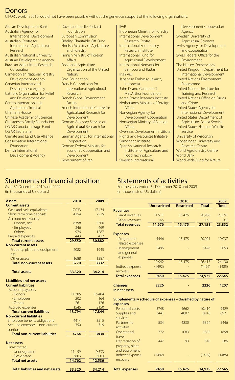#### Donors

CIFOR's work in 2010 would not have been possible without the generous support of the following organisations.

African Development Bank Australian Agency for International Development Australian Centre for International Agricultural Research Australian National University Austrian Development Agency Brazilian Agricultural Research Corporation Cameroonian National Forestry Development Agency Canadian International Development Agency Catholic Organisation for Relief and Development Aid Centro Internacional de Agricultura Tropical Chatham House Chinese Academy of Sciences Christensen Family Foundation CGIAR Canada Linkage Fund CGIAR Secretariat Climate and Land Use Alliance Conservation International Foundation Danish International Development Agency

David and Lucile Packard Foundation European Commission Fidelity Charitable Gift Fund Finnish Ministry of Agriculture and Forestry Finnish Ministry of Foreign Affairs Food and Agriculture Organization of the United **Nations** Ford Foundation French Commission for International Agricultural Research French Global Environment Facility French International Centre for Agricultural Research for Development German Advisory Service on Agricultural Research for Development German Agency for International Cooperation German Federal Ministry for Economic Cooperation and Development IFAR

Government of Iran

Indonesian Ministry of Forestry International Development Research Centre International Food Policy Research Institute International Fund for Agricultural Development International Network for Bamboo and Rattan Irish Aid Japanese Embassy, Jakarta, Indonesia John D. and Catherine T. MacArthur Foundation Korea Forest Research Institute Netherlands Ministry of Foreign Affairs Norwegian Agency for Development Cooperation Norwegian Ministry of Foreign Affairs Overseas Development Institute Rights and Resources Initiative Samdhana Institute Spanish National Research Institute for Agriculture and Food Technology

Swedish International

Development Cooperation Agency Swedish University of Agricultural Sciences Swiss Agency for Development and Cooperation Swiss Federal Office for the Environment The Nature Conservancy United Kingdom Department for International Development United Nations Environment Programme United Nations Institute for Training and Research United Nations Office on Drugs and Crime United States Agency for International Development United States Department of Agriculture, Forest Service United States Fish and Wildlife Service University of Wisconsin Wageningen University and Research Centre World Agroforestry Centre World Bank World Wide Fund for Nature

 **2010 2009**

#### Statements of financial position

As at 31 December 2010 and 2009 (in thousands of US dollars)

#### Statements of activities

For the years ended 31 December 2010 and 2009 (in thousands of US dollars)

| <b>Assets</b>                           | 2010   | 2009   |                                                              |                     | 2010              |              | 2009         |
|-----------------------------------------|--------|--------|--------------------------------------------------------------|---------------------|-------------------|--------------|--------------|
| <b>Current assets</b>                   |        |        |                                                              | <b>Unrestricted</b> | <b>Restricted</b> | <b>Total</b> | <b>Total</b> |
| Cash and cash equivalents               | 17,033 | 17,474 | <b>Revenues</b>                                              |                     |                   |              |              |
| Short-term time deposits                | 4354   | 7525   | - Grant revenues                                             | 11,511              | 15,475            | 26,986       | 23,591       |
| Account receivables:                    |        |        | - Other revenues                                             | 165                 |                   | 165          | 261          |
| - Donors, net                           | 6398   | 3700   | <b>Total revenues</b>                                        | 11,676              | 15,475            | 27,151       | 23,852       |
| - Employees                             | 346    | 469    |                                                              |                     |                   |              |              |
| - Others                                | 976    | 1287   | <b>Expenses</b>                                              |                     |                   |              |              |
| Prepaid expenses                        | 443    | 427    |                                                              | 5446                |                   |              |              |
| <b>Total current assets</b>             | 29,550 | 30,882 | - Programme                                                  |                     | 15,475            | 20,921       | 19,037       |
| <b>Non-current assets</b>               |        |        | related expenses                                             |                     |                   |              |              |
| Property, plant and equipment,          | 2082   | 1945   | - Management                                                 | 5496                |                   | 5496         | 5093         |
| net                                     |        |        | and general                                                  |                     |                   |              |              |
| Other assets                            | 1688   | 1387   | expenses                                                     |                     |                   |              |              |
| <b>Total non-current assets</b>         | 3770   | 3332   |                                                              | 10,942              | 15,475            | 26,417       | 24,130       |
|                                         |        |        | Indirect expense                                             | (1492)              |                   | (1492)       | (1485)       |
| <b>Total assets</b>                     | 33,320 | 34,214 | recovery                                                     |                     |                   |              |              |
|                                         |        |        | <b>Total expenses</b>                                        | 9450                | 15,475            | 24,925       | 22,645       |
| <b>Liabilities and net assets</b>       |        |        |                                                              |                     |                   |              |              |
| <b>Current liabilities</b>              |        |        | <b>Changes</b>                                               | 2226                |                   | 2226         | 1207         |
| Account payables:                       |        |        | in net assets                                                |                     |                   |              |              |
| - Donors                                | 11,785 | 15,404 |                                                              |                     |                   |              |              |
| - Employees                             | 202    | 164    | Supplementary schedule of expenses - classified by nature of |                     |                   |              |              |
| - Others                                | 261    | 126    | expenses                                                     |                     |                   |              |              |
| Accrued expenses                        | 1546   | 2150   | Personnel costs                                              | 5748                | 4662              | 10,410       | 9429         |
| <b>Total current liabilities</b>        | 13,794 | 17,844 | Supplies and                                                 | 3441                | 4807              | 8248         | 6971         |
| <b>Non-current liabilities</b>          |        |        | services                                                     |                     |                   |              |              |
| Employee benefits obligations           | 4414   | 3515   |                                                              | 534                 | 4830              | 5364         | 5446         |
| Accrued expenses - non-current          | 350    | 319    | Partnership                                                  |                     |                   |              |              |
| portion                                 |        |        | activities                                                   |                     |                   |              |              |
| <b>Total non-current liabilities</b>    | 4764   | 3834   | Operational                                                  | 772                 | 1083              | 1855         | 1698         |
|                                         |        |        | travel                                                       |                     |                   |              |              |
| <b>Net assets</b>                       |        |        | Depreciation of                                              | 447                 | 93                | 540          | 586          |
| Unrestricted:                           |        |        | property, plant                                              |                     |                   |              |              |
| - Undesignated                          | 11,159 | 9,533  | and equipment                                                |                     |                   |              |              |
| - Designated                            | 3603   | 3003   | Indirect expense                                             | (1492)              |                   | (1492)       | (1485)       |
| <b>Total net assets</b>                 | 14,762 | 12,536 | recovery                                                     |                     |                   |              |              |
| <b>Total liabilities and net assets</b> | 33,320 | 34,214 | <b>Total expenses</b>                                        | 9450                | 15,475            | 24,925       | 22,645       |
|                                         |        |        |                                                              |                     |                   |              |              |